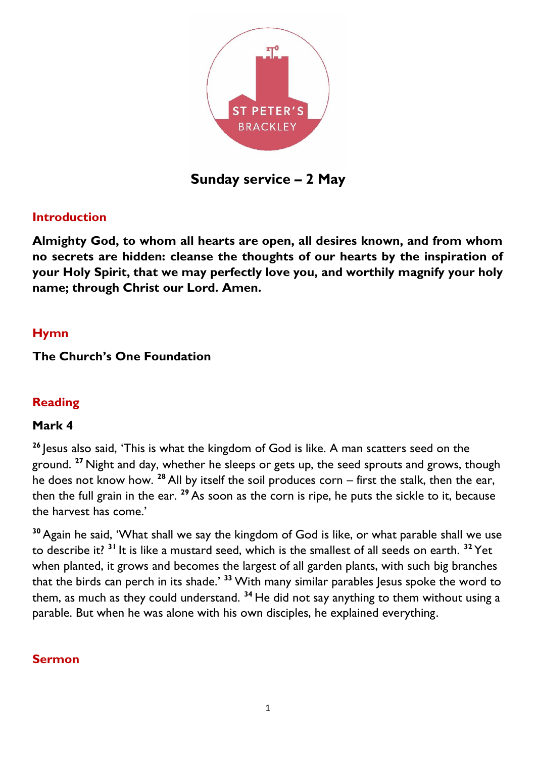

**Sunday service – 2 May**

## **Introduction**

**Almighty God, to whom all hearts are open, all desires known, and from whom no secrets are hidden: cleanse the thoughts of our hearts by the inspiration of your Holy Spirit, that we may perfectly love you, and worthily magnify your holy name; through Christ our Lord. Amen.**

## **Hymn**

## **The Church's One Foundation**

# **Reading**

## **Mark 4**

**<sup>26</sup>** Jesus also said, 'This is what the kingdom of God is like. A man scatters seed on the ground. **<sup>27</sup>** Night and day, whether he sleeps or gets up, the seed sprouts and grows, though he does not know how. **<sup>28</sup>** All by itself the soil produces corn – first the stalk, then the ear, then the full grain in the ear. **<sup>29</sup>** As soon as the corn is ripe, he puts the sickle to it, because the harvest has come.'

**<sup>30</sup>** Again he said, 'What shall we say the kingdom of God is like, or what parable shall we use to describe it? **<sup>31</sup>** It is like a mustard seed, which is the smallest of all seeds on earth. **<sup>32</sup>** Yet when planted, it grows and becomes the largest of all garden plants, with such big branches that the birds can perch in its shade.' **<sup>33</sup>** With many similar parables Jesus spoke the word to them, as much as they could understand. **<sup>34</sup>** He did not say anything to them without using a parable. But when he was alone with his own disciples, he explained everything.

## **Sermon**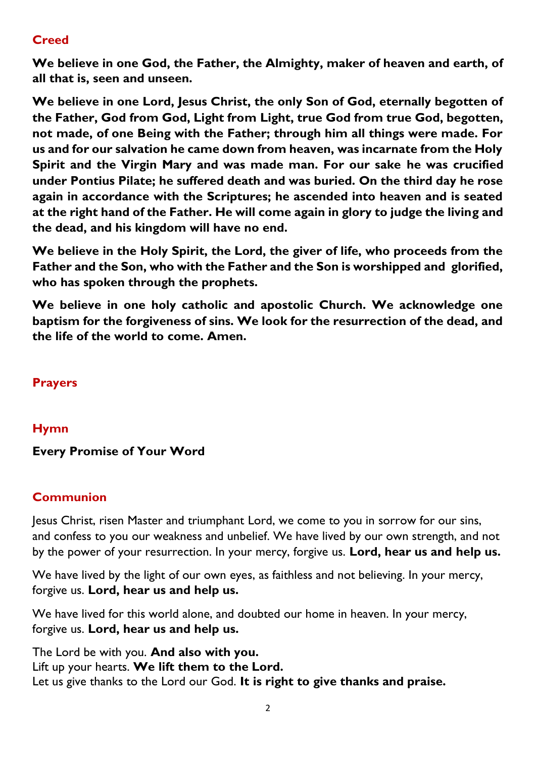# **Creed**

**We believe in one God, the Father, the Almighty, maker of heaven and earth, of all that is, seen and unseen.** 

**We believe in one Lord, Jesus Christ, the only Son of God, eternally begotten of the Father, God from God, Light from Light, true God from true God, begotten, not made, of one Being with the Father; through him all things were made. For us and for our salvation he came down from heaven, was incarnate from the Holy Spirit and the Virgin Mary and was made man. For our sake he was crucified under Pontius Pilate; he suffered death and was buried. On the third day he rose again in accordance with the Scriptures; he ascended into heaven and is seated at the right hand of the Father. He will come again in glory to judge the living and the dead, and his kingdom will have no end.**

**We believe in the Holy Spirit, the Lord, the giver of life, who proceeds from the Father and the Son, who with the Father and the Son is worshipped and glorified, who has spoken through the prophets.** 

**We believe in one holy catholic and apostolic Church. We acknowledge one baptism for the forgiveness of sins. We look for the resurrection of the dead, and the life of the world to come. Amen.**

# **Prayers**

## **Hymn**

## **Every Promise of Your Word**

## **Communion**

Jesus Christ, risen Master and triumphant Lord, we come to you in sorrow for our sins, and confess to you our weakness and unbelief. We have lived by our own strength, and not by the power of your resurrection. In your mercy, forgive us. **Lord, hear us and help us.**

We have lived by the light of our own eyes, as faithless and not believing. In your mercy, forgive us. **Lord, hear us and help us.**

We have lived for this world alone, and doubted our home in heaven. In your mercy, forgive us. **Lord, hear us and help us.**

The Lord be with you. **And also with you.** Lift up your hearts. **We lift them to the Lord.** Let us give thanks to the Lord our God. **It is right to give thanks and praise.**